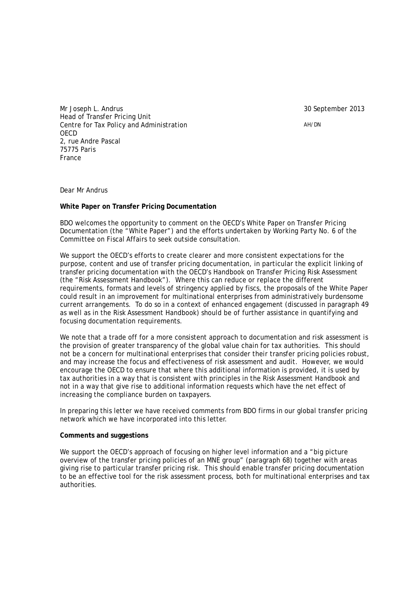30 September 2013

AH/DN

Mr Joseph L. Andrus Head of Transfer Pricing Unit Centre for Tax Policy and Administration OECD 2, rue Andre Pascal 75775 Paris France

Dear Mr Andrus

## **White Paper on Transfer Pricing Documentation**

BDO welcomes the opportunity to comment on the OECD's White Paper on Transfer Pricing Documentation (the "White Paper") and the efforts undertaken by Working Party No. 6 of the Committee on Fiscal Affairs to seek outside consultation.

We support the OECD's efforts to create clearer and more consistent expectations for the purpose, content and use of transfer pricing documentation, in particular the explicit linking of transfer pricing documentation with the OECD's Handbook on Transfer Pricing Risk Assessment (the "Risk Assessment Handbook"). Where this can reduce or replace the different requirements, formats and levels of stringency applied by fiscs, the proposals of the White Paper could result in an improvement for multinational enterprises from administratively burdensome current arrangements. To do so in a context of enhanced engagement (discussed in paragraph 49 as well as in the Risk Assessment Handbook) should be of further assistance in quantifying and focusing documentation requirements.

We note that a trade off for a more consistent approach to documentation and risk assessment is the provision of greater transparency of the global value chain for tax authorities. This should not be a concern for multinational enterprises that consider their transfer pricing policies robust, and may increase the focus and effectiveness of risk assessment and audit. However, we would encourage the OECD to ensure that where this additional information is provided, it is used by tax authorities in a way that is consistent with principles in the Risk Assessment Handbook and not in a way that give rise to additional information requests which have the net effect of increasing the compliance burden on taxpayers.

In preparing this letter we have received comments from BDO firms in our global transfer pricing network which we have incorporated into this letter.

## **Comments and suggestions**

We support the OECD's approach of focusing on higher level information and a "big picture" overview of the transfer pricing policies of an MNE group" (paragraph 68) together with areas giving rise to particular transfer pricing risk. This should enable transfer pricing documentation to be an effective tool for the risk assessment process, both for multinational enterprises and tax authorities.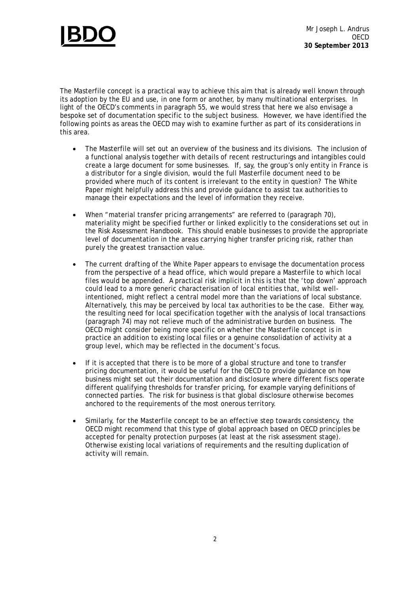

The Masterfile concept is a practical way to achieve this aim that is already well known through its adoption by the EU and use, in one form or another, by many multinational enterprises. In light of the OECD's comments in paragraph 55, we would stress that here we also envisage a bespoke set of documentation specific to the subject business. However, we have identified the following points as areas the OECD may wish to examine further as part of its considerations in this area.

- The Masterfile will set out an overview of the business and its divisions. The inclusion of a functional analysis together with details of recent restructurings and intangibles could create a large document for some businesses. If, say, the group's only entity in France is a distributor for a single division, would the full Masterfile document need to be provided where much of its content is irrelevant to the entity in question? The White Paper might helpfully address this and provide guidance to assist tax authorities to manage their expectations and the level of information they receive.
- When "material transfer pricing arrangements" are referred to (paragraph 70), materiality might be specified further or linked explicitly to the considerations set out in the Risk Assessment Handbook. This should enable businesses to provide the appropriate level of documentation in the areas carrying higher transfer pricing risk, rather than purely the greatest transaction value.
- The current drafting of the White Paper appears to envisage the documentation process from the perspective of a head office, which would prepare a Masterfile to which local files would be appended. A practical risk implicit in this is that the 'top down' approach could lead to a more generic characterisation of local entities that, whilst wellintentioned, might reflect a central model more than the variations of local substance. Alternatively, this may be perceived by local tax authorities to be the case. Either way, the resulting need for local specification together with the analysis of local transactions (paragraph 74) may not relieve much of the administrative burden on business. The OECD might consider being more specific on whether the Masterfile concept is in practice an addition to existing local files or a genuine consolidation of activity at a group level, which may be reflected in the document's focus.
- If it is accepted that there is to be more of a global structure and tone to transfer pricing documentation, it would be useful for the OECD to provide guidance on how business might set out their documentation and disclosure where different fiscs operate different qualifying thresholds for transfer pricing, for example varying definitions of connected parties. The risk for business is that global disclosure otherwise becomes anchored to the requirements of the most onerous territory.
- Similarly, for the Masterfile concept to be an effective step towards consistency, the OECD might recommend that this type of global approach based on OECD principles be accepted for penalty protection purposes (at least at the risk assessment stage). Otherwise existing local variations of requirements and the resulting duplication of activity will remain.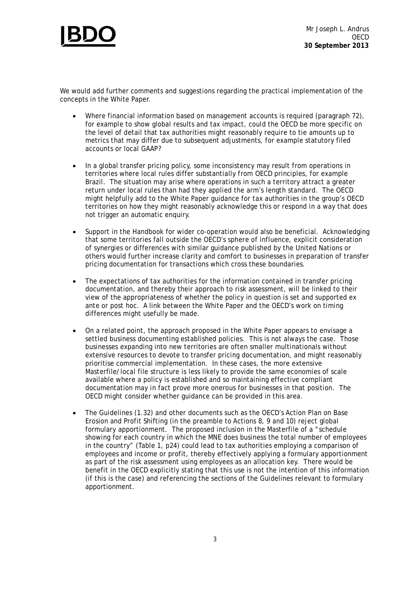

We would add further comments and suggestions regarding the practical implementation of the concepts in the White Paper.

- Where financial information based on management accounts is required (paragraph 72), for example to show global results and tax impact, could the OECD be more specific on the level of detail that tax authorities might reasonably require to tie amounts up to metrics that may differ due to subsequent adjustments, for example statutory filed accounts or local GAAP?
- In a global transfer pricing policy, some inconsistency may result from operations in territories where local rules differ substantially from OECD principles, for example Brazil. The situation may arise where operations in such a territory attract a greater return under local rules than had they applied the arm's length standard. The OECD might helpfully add to the White Paper guidance for tax authorities in the group's OECD territories on how they might reasonably acknowledge this or respond in a way that does not trigger an automatic enquiry.
- Support in the Handbook for wider co-operation would also be beneficial. Acknowledging that some territories fall outside the OECD's sphere of influence, explicit consideration of synergies or differences with similar guidance published by the United Nations or others would further increase clarity and comfort to businesses in preparation of transfer pricing documentation for transactions which cross these boundaries.
- The expectations of tax authorities for the information contained in transfer pricing documentation, and thereby their approach to risk assessment, will be linked to their view of the appropriateness of whether the policy in question is set and supported ex ante or post hoc. A link between the White Paper and the OECD's work on timing differences might usefully be made.
- On a related point, the approach proposed in the White Paper appears to envisage a settled business documenting established policies. This is not always the case. Those businesses expanding into new territories are often smaller multinationals without extensive resources to devote to transfer pricing documentation, and might reasonably prioritise commercial implementation. In these cases, the more extensive Masterfile/local file structure is less likely to provide the same economies of scale available where a policy is established and so maintaining effective compliant documentation may in fact prove more onerous for businesses in that position. The OECD might consider whether guidance can be provided in this area.
- The Guidelines (1.32) and other documents such as the OECD's Action Plan on Base Erosion and Profit Shifting (in the preamble to Actions 8, 9 and 10) reject global formulary apportionment. The proposed inclusion in the Masterfile of a "schedule showing for each country in which the MNE does business the total number of employees in the country" (Table 1, p24) could lead to tax authorities employing a comparison of employees and income or profit, thereby effectively applying a formulary apportionment as part of the risk assessment using employees as an allocation key. There would be benefit in the OECD explicitly stating that this use is not the intention of this information (if this is the case) and referencing the sections of the Guidelines relevant to formulary apportionment.